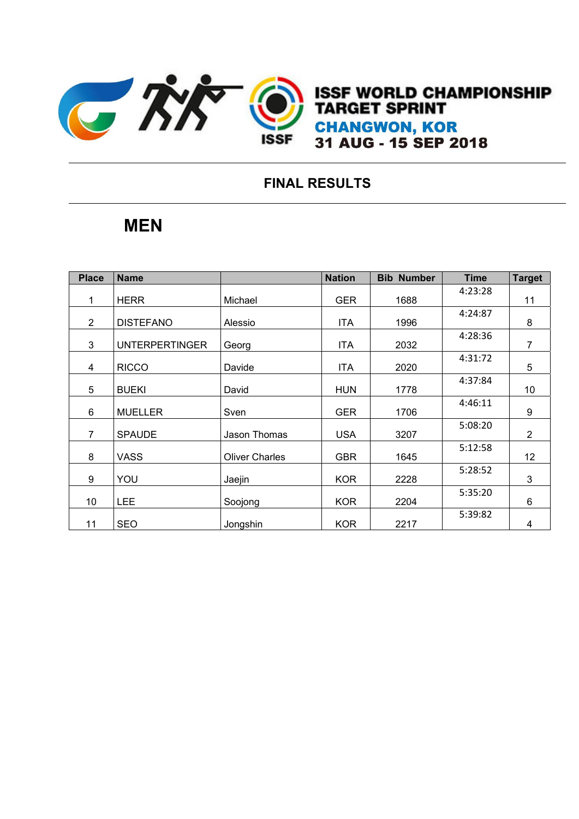

**12. ISSF WO FINAL START CHANGWO** 

## **FINAL RESULTS**

## **MEN**

| <b>Place</b>   | <b>Name</b>           |                       | <b>Nation</b> | <b>Bib Number</b> | <b>Time</b> | <b>Target</b>   |
|----------------|-----------------------|-----------------------|---------------|-------------------|-------------|-----------------|
| 1              | <b>HERR</b>           | Michael               | <b>GER</b>    | 1688              | 4:23:28     | 11              |
| 2              | <b>DISTEFANO</b>      | Alessio               | ITA.          | 1996              | 4:24:87     | 8               |
| 3              | <b>UNTERPERTINGER</b> | Georg                 | <b>ITA</b>    | 2032              | 4:28:36     | $\overline{7}$  |
| 4              | <b>RICCO</b>          | Davide                | <b>ITA</b>    | 2020              | 4:31:72     | 5               |
| 5              | <b>BUEKI</b>          | David                 | <b>HUN</b>    | 1778              | 4:37:84     | 10 <sup>°</sup> |
| 6              | <b>MUELLER</b>        | Sven                  | <b>GER</b>    | 1706              | 4:46:11     | 9               |
| $\overline{7}$ | <b>SPAUDE</b>         | Jason Thomas          | <b>USA</b>    | 3207              | 5:08:20     | $\overline{2}$  |
| 8              | <b>VASS</b>           | <b>Oliver Charles</b> | <b>GBR</b>    | 1645              | 5:12:58     | 12              |
| 9              | YOU                   | Jaejin                | <b>KOR</b>    | 2228              | 5:28:52     | 3               |
| 10             | <b>LEE</b>            | Soojong               | <b>KOR</b>    | 2204              | 5:35:20     | 6               |
| 11             | <b>SEO</b>            | Jongshin              | <b>KOR</b>    | 2217              | 5:39:82     | 4               |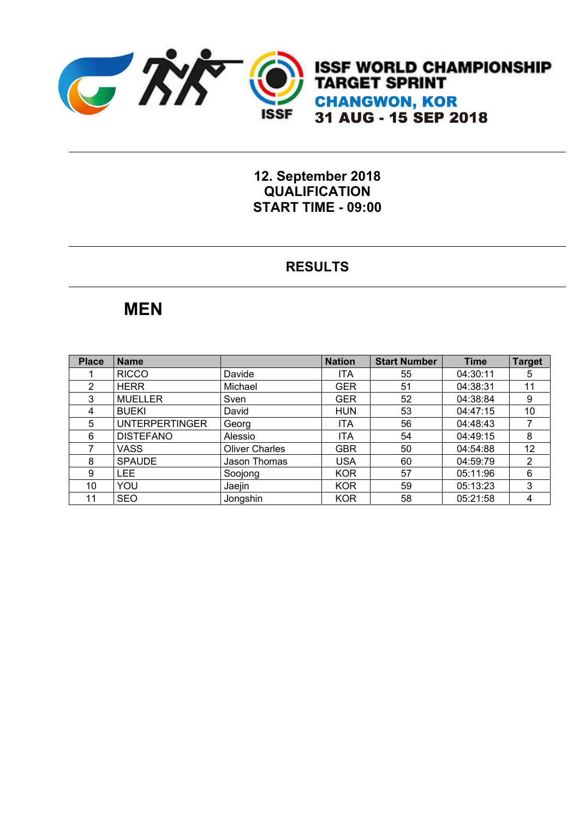

**ISSF WORLD CHAMPIONSHIP TARGET SPRINT CHANGWON, KOR** 31 AUG - 15 SEP 2018

**12. September 2018 QUALIFICATION START TIME - 09:00** 

#### **RESULTS**

## **MEN**

| <b>Place</b> | <b>Name</b>           |                       | <b>Nation</b> | <b>Start Number</b> | <b>Time</b> | <b>Target</b> |
|--------------|-----------------------|-----------------------|---------------|---------------------|-------------|---------------|
|              | <b>RICCO</b>          | Davide                | <b>ITA</b>    | 55                  | 04:30:11    | 5             |
| 2            | <b>HERR</b>           | Michael               | <b>GER</b>    | 51                  | 04:38:31    | 11            |
| 3            | <b>MUELLER</b>        | Sven                  | GER           | 52                  | 04:38:84    | 9             |
| 4            | <b>BUEKI</b>          | David                 | <b>HUN</b>    | 53                  | 04:47:15    | 10            |
| 5            | <b>UNTERPERTINGER</b> | Georg                 | <b>ITA</b>    | 56                  | 04:48:43    |               |
| 6            | <b>DISTEFANO</b>      | Alessio               | <b>ITA</b>    | 54                  | 04:49:15    | 8             |
|              | <b>VASS</b>           | <b>Oliver Charles</b> | <b>GBR</b>    | 50                  | 04:54:88    | 12            |
| 8            | <b>SPAUDE</b>         | Jason Thomas          | USA           | 60                  | 04:59:79    | 2             |
| 9            | <b>LEE</b>            | Soojong               | <b>KOR</b>    | 57                  | 05:11:96    | 6             |
| 10           | YOU                   | Jaejin                | <b>KOR</b>    | 59                  | 05:13:23    | 3             |
| 11           | <b>SEO</b>            | Jongshin              | <b>KOR</b>    | 58                  | 05:21:58    | 4             |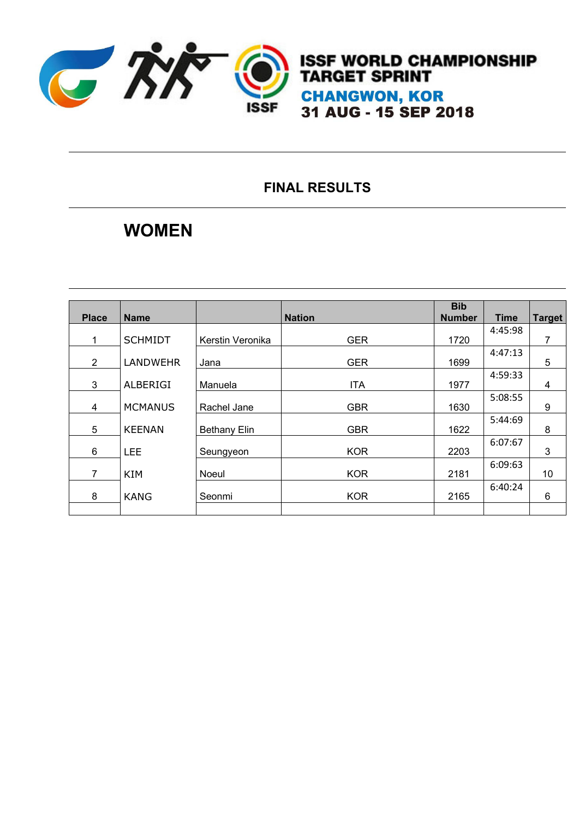

### **FINAL RESULTS**

## **WOMEN**

| <b>Place</b>   | <b>Name</b>     |                     | <b>Nation</b> | <b>Bib</b><br><b>Number</b> | <b>Time</b> | <b>Target</b> |
|----------------|-----------------|---------------------|---------------|-----------------------------|-------------|---------------|
| 1              | <b>SCHMIDT</b>  | Kerstin Veronika    | <b>GER</b>    | 1720                        | 4:45:98     | 7             |
| $\overline{2}$ | <b>LANDWEHR</b> | Jana                | <b>GER</b>    | 1699                        | 4:47:13     | 5             |
| 3              | ALBERIGI        | Manuela             | <b>ITA</b>    | 1977                        | 4:59:33     | 4             |
| 4              | <b>MCMANUS</b>  | Rachel Jane         | <b>GBR</b>    | 1630                        | 5:08:55     | 9             |
| 5              | <b>KEENAN</b>   | <b>Bethany Elin</b> | <b>GBR</b>    | 1622                        | 5:44:69     | 8             |
| 6              | <b>LEE</b>      | Seungyeon           | <b>KOR</b>    | 2203                        | 6:07:67     | 3             |
| $\overline{7}$ | <b>KIM</b>      | Noeul               | <b>KOR</b>    | 2181                        | 6:09:63     | 10            |
| 8              | <b>KANG</b>     | Seonmi              | <b>KOR</b>    | 2165                        | 6:40:24     | 6             |
|                |                 |                     |               |                             |             |               |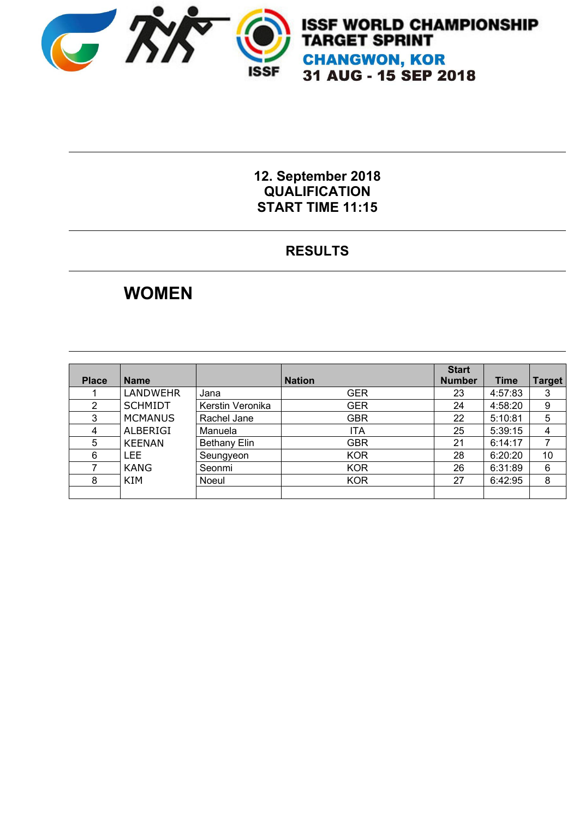

# **ISSF WORLD CHAMPIONSHIP<br>TARGET SPRINT CHANGWON, KOR** 31 AUG - 15 SEP 2018

#### **12. September 2018 QUALIFICATION START TIME 11:15**

### **RESULTS**

## **WOMEN**

| <b>Place</b> | <b>Name</b>     |                     | <b>Nation</b> | <b>Start</b><br><b>Number</b> | Time    | Target |
|--------------|-----------------|---------------------|---------------|-------------------------------|---------|--------|
|              | <b>LANDWEHR</b> | Jana                | <b>GER</b>    | 23                            | 4:57:83 | 3      |
| 2            | <b>SCHMIDT</b>  | Kerstin Veronika    | <b>GER</b>    | 24                            | 4:58:20 | 9      |
| 3            | <b>MCMANUS</b>  | Rachel Jane         | <b>GBR</b>    | 22                            | 5:10:81 | 5      |
| 4            | <b>ALBERIGI</b> | Manuela             | ITA           | 25                            | 5:39:15 |        |
| 5            | <b>KEENAN</b>   | <b>Bethany Elin</b> | <b>GBR</b>    | 21                            | 6:14:17 |        |
| 6            | LEE.            | Seungyeon           | <b>KOR</b>    | 28                            | 6:20:20 | 10     |
|              | <b>KANG</b>     | Seonmi              | <b>KOR</b>    | 26                            | 6:31:89 | 6      |
| 8            | KIM             | Noeul               | <b>KOR</b>    | 27                            | 6:42:95 | 8      |
|              |                 |                     |               |                               |         |        |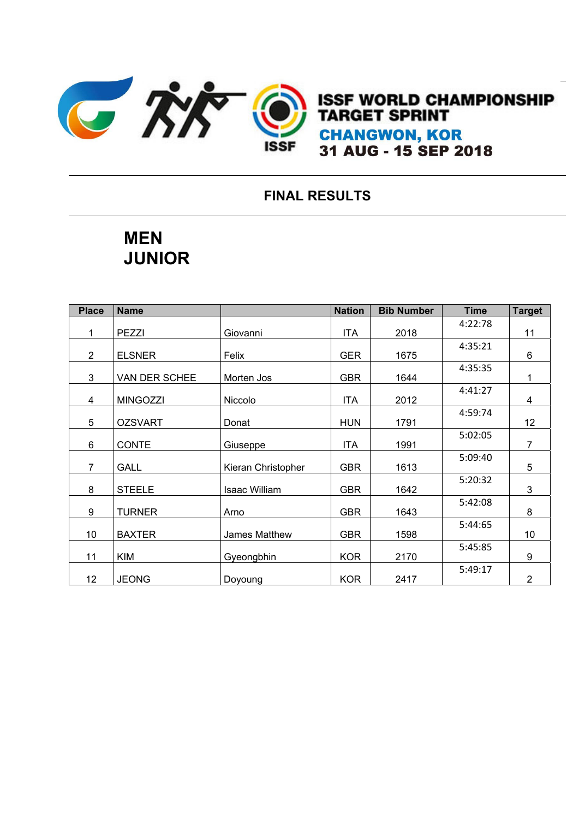

#### **FINAL RESULTS**

## **MEN JUNIOR**

| <b>Place</b>   | <b>Name</b>     |                      | <b>Nation</b> | <b>Bib Number</b> | <b>Time</b> | <b>Target</b>  |
|----------------|-----------------|----------------------|---------------|-------------------|-------------|----------------|
| 1              | <b>PEZZI</b>    | Giovanni             | <b>ITA</b>    | 2018              | 4:22:78     | 11             |
| $\overline{2}$ | <b>ELSNER</b>   | Felix                | <b>GER</b>    | 1675              | 4:35:21     | 6              |
| 3              | VAN DER SCHEE   | Morten Jos           | <b>GBR</b>    | 1644              | 4:35:35     | 1              |
| 4              | <b>MINGOZZI</b> | Niccolo              | ITA           | 2012              | 4:41:27     | 4              |
| 5              | <b>OZSVART</b>  | Donat                | <b>HUN</b>    | 1791              | 4:59:74     | 12             |
| 6              | <b>CONTE</b>    | Giuseppe             | <b>ITA</b>    | 1991              | 5:02:05     | $\overline{7}$ |
| $\overline{7}$ | <b>GALL</b>     | Kieran Christopher   | <b>GBR</b>    | 1613              | 5:09:40     | 5              |
| 8              | <b>STEELE</b>   | Isaac William        | <b>GBR</b>    | 1642              | 5:20:32     | 3              |
| 9              | <b>TURNER</b>   | Arno                 | <b>GBR</b>    | 1643              | 5:42:08     | 8              |
| 10             | <b>BAXTER</b>   | <b>James Matthew</b> | <b>GBR</b>    | 1598              | 5:44:65     | 10             |
| 11             | <b>KIM</b>      | Gyeongbhin           | <b>KOR</b>    | 2170              | 5:45:85     | 9              |
| 12             | <b>JEONG</b>    | Doyoung              | <b>KOR</b>    | 2417              | 5:49:17     | $\overline{2}$ |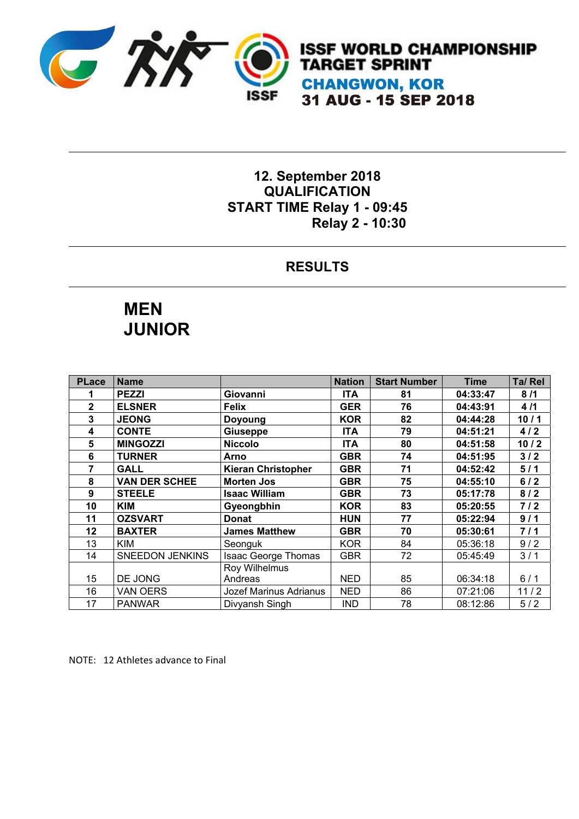

**ISSF WORLD CHAMPIONSHIP TARGET SPRINT CHANGWON, KOR** 31 AUG - 15 SEP 2018

#### **12. September 2018 QUALIFICATION START TIME Relay 1 - 09:45 Relay 2 - 10:30**

#### **RESULTS**

## **MEN JUNIOR**

| <b>PLace</b> | <b>Name</b>            |                            | <b>Nation</b> | <b>Start Number</b> | <b>Time</b> | Ta/ Rel |
|--------------|------------------------|----------------------------|---------------|---------------------|-------------|---------|
|              | <b>PEZZI</b>           | Giovanni                   | <b>ITA</b>    | 81                  | 04:33:47    | 8/1     |
| $\mathbf{2}$ | <b>ELSNER</b>          | <b>Felix</b>               | <b>GER</b>    | 76                  | 04:43:91    | 4/1     |
| 3            | <b>JEONG</b>           | Doyoung                    | <b>KOR</b>    | 82                  | 04:44:28    | 10/1    |
| 4            | <b>CONTE</b>           | <b>Giuseppe</b>            | <b>ITA</b>    | 79                  | 04:51:21    | 4/2     |
| 5            | <b>MINGOZZI</b>        | <b>Niccolo</b>             | <b>ITA</b>    | 80                  | 04:51:58    | 10/2    |
| 6            | <b>TURNER</b>          | Arno                       | <b>GBR</b>    | 74                  | 04:51:95    | $3/2$   |
| 7            | <b>GALL</b>            | <b>Kieran Christopher</b>  | <b>GBR</b>    | 71                  | 04:52:42    | 5/1     |
| 8            | <b>VAN DER SCHEE</b>   | <b>Morten Jos</b>          | <b>GBR</b>    | 75                  | 04:55:10    | 6/2     |
| 9            | <b>STEELE</b>          | <b>Isaac William</b>       | <b>GBR</b>    | 73                  | 05:17:78    | 8/2     |
| 10           | <b>KIM</b>             | Gyeongbhin                 | <b>KOR</b>    | 83                  | 05:20:55    | 7/2     |
| 11           | <b>OZSVART</b>         | <b>Donat</b>               | <b>HUN</b>    | 77                  | 05:22:94    | 9/1     |
| 12           | <b>BAXTER</b>          | <b>James Matthew</b>       | <b>GBR</b>    | 70                  | 05:30:61    | 7/1     |
| 13           | KIM                    | Seonguk                    | <b>KOR</b>    | 84                  | 05:36:18    | 9/2     |
| 14           | <b>SNEEDON JENKINS</b> | <b>Isaac George Thomas</b> | <b>GBR</b>    | 72                  | 05:45:49    | 3/1     |
|              |                        | Roy Wilhelmus              |               |                     |             |         |
| 15           | DE JONG                | Andreas                    | <b>NED</b>    | 85                  | 06:34:18    | 6/1     |
| 16           | VAN OERS               | Jozef Marinus Adrianus     | <b>NED</b>    | 86                  | 07:21:06    | 11/2    |
| 17           | <b>PANWAR</b>          | Divyansh Singh             | <b>IND</b>    | 78                  | 08:12:86    | 5/2     |

NOTE: 12 Athletes advance to Final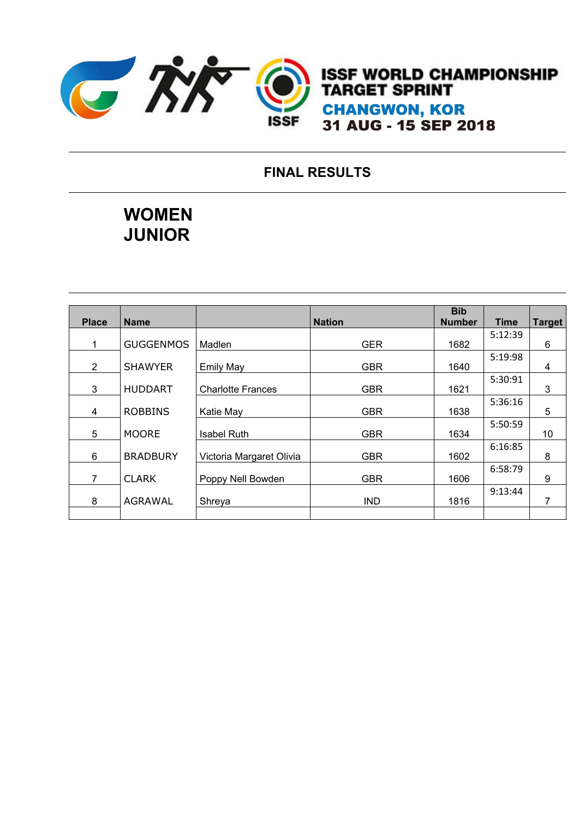

**ISSF WORLD CHAMPIONSHIP TARGET SPRINT CHANGWON, KOR** 31 AUG - 15 SEP 2018

### **FINAL RESULTS**

## **WOMEN JUNIOR**

|                |                  |                          |               | <b>Bib</b>    |             |               |
|----------------|------------------|--------------------------|---------------|---------------|-------------|---------------|
| <b>Place</b>   | <b>Name</b>      |                          | <b>Nation</b> | <b>Number</b> | <b>Time</b> | <b>Target</b> |
|                |                  |                          |               |               | 5:12:39     |               |
| 1              | <b>GUGGENMOS</b> | Madlen                   | <b>GER</b>    | 1682          |             | 6             |
|                |                  |                          |               |               | 5:19:98     |               |
| $\overline{2}$ | <b>SHAWYER</b>   | <b>Emily May</b>         | <b>GBR</b>    | 1640          |             | 4             |
|                |                  |                          |               |               | 5:30:91     |               |
| 3              | <b>HUDDART</b>   | <b>Charlotte Frances</b> | <b>GBR</b>    | 1621          |             | 3             |
|                |                  |                          |               |               | 5:36:16     |               |
| 4              | <b>ROBBINS</b>   | Katie May                | <b>GBR</b>    | 1638          |             | 5             |
|                |                  |                          |               |               | 5:50:59     |               |
| 5              | <b>MOORE</b>     | <b>Isabel Ruth</b>       | <b>GBR</b>    | 1634          |             | 10            |
|                |                  |                          |               |               | 6:16:85     |               |
| 6              | <b>BRADBURY</b>  | Victoria Margaret Olivia | <b>GBR</b>    | 1602          |             | 8             |
|                |                  |                          |               |               | 6:58:79     |               |
| $\overline{7}$ | <b>CLARK</b>     | Poppy Nell Bowden        | <b>GBR</b>    | 1606          |             | 9             |
|                |                  |                          |               |               | 9:13:44     |               |
| 8              | <b>AGRAWAL</b>   | Shreya                   | <b>IND</b>    | 1816          |             | 7             |
|                |                  |                          |               |               |             |               |
|                |                  |                          |               |               |             |               |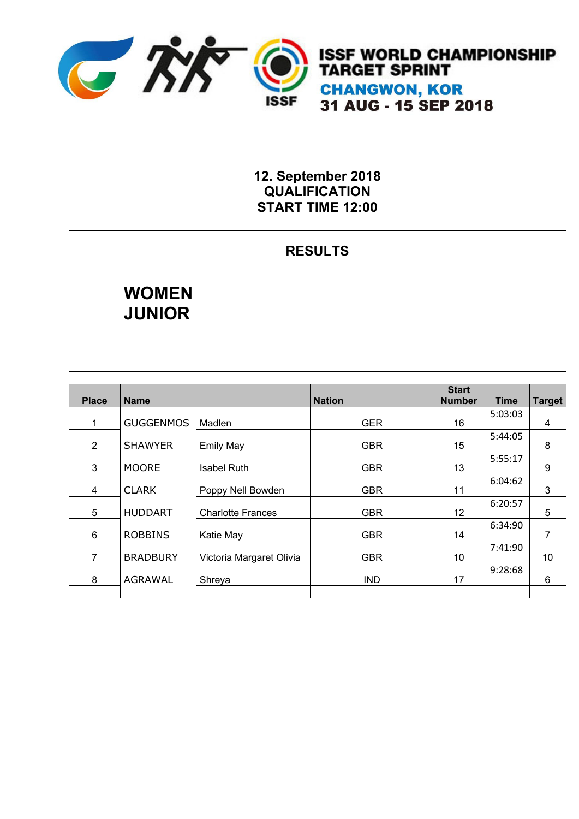

#### **12. September 2018 QUALIFICATION START TIME 12:00**

### **RESULTS**

## **WOMEN JUNIOR**

| <b>Place</b>   | <b>Name</b>      |                          | <b>Nation</b> | <b>Start</b><br><b>Number</b> | <b>Time</b> | <b>Target</b> |
|----------------|------------------|--------------------------|---------------|-------------------------------|-------------|---------------|
| 1              | <b>GUGGENMOS</b> | Madlen                   | <b>GER</b>    | 16                            | 5:03:03     | 4             |
| $\overline{2}$ | <b>SHAWYER</b>   | <b>Emily May</b>         | <b>GBR</b>    | 15                            | 5:44:05     | 8             |
| 3              | <b>MOORE</b>     | <b>Isabel Ruth</b>       | <b>GBR</b>    | 13                            | 5:55:17     | 9             |
| 4              | <b>CLARK</b>     | Poppy Nell Bowden        | <b>GBR</b>    | 11                            | 6:04:62     | 3             |
| 5              | <b>HUDDART</b>   | <b>Charlotte Frances</b> | <b>GBR</b>    | 12                            | 6:20:57     | 5             |
| 6              | <b>ROBBINS</b>   | Katie May                | <b>GBR</b>    | 14                            | 6:34:90     | 7             |
| $\overline{7}$ | <b>BRADBURY</b>  | Victoria Margaret Olivia | <b>GBR</b>    | 10                            | 7:41:90     | 10            |
| 8              | AGRAWAL          | Shreya                   | <b>IND</b>    | 17                            | 9:28:68     | 6             |
|                |                  |                          |               |                               |             |               |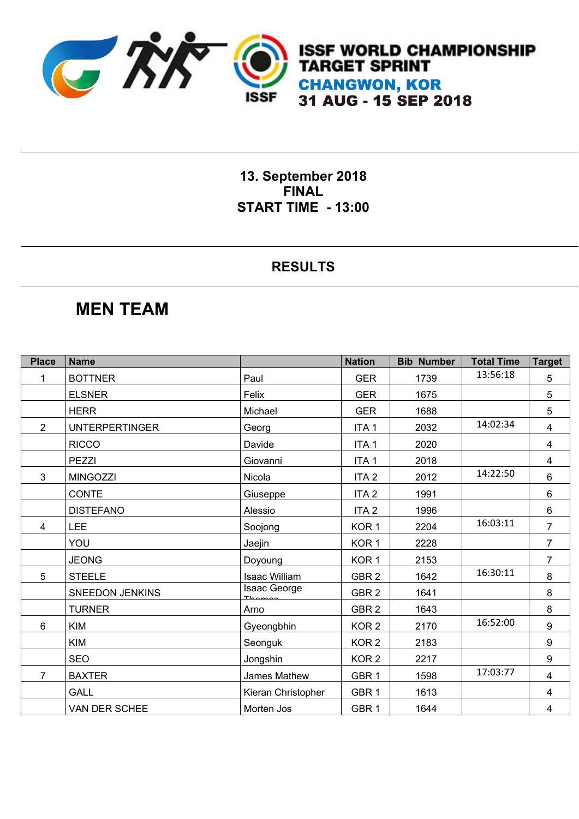

**13. September 2018 FINAL START TIME - 13:00** 

#### **RESULTS**

### **MEN TEAM**

| <b>Place</b>   | <b>Name</b>            |                    | <b>Nation</b>    | <b>Bib Number</b> | <b>Total Time</b> | <b>Target</b>  |
|----------------|------------------------|--------------------|------------------|-------------------|-------------------|----------------|
| 1              | <b>BOTTNER</b>         | Paul               | <b>GER</b>       | 1739              | 13:56:18          | 5              |
|                | <b>ELSNER</b>          | Felix              | <b>GER</b>       | 1675              |                   | 5              |
|                | <b>HERR</b>            | Michael            | <b>GER</b>       | 1688              |                   | 5              |
| 2              | <b>UNTERPERTINGER</b>  | Georg              | ITA <sub>1</sub> | 2032              | 14:02:34          | $\overline{4}$ |
|                | <b>RICCO</b>           | Davide             | ITA <sub>1</sub> | 2020              |                   | $\overline{4}$ |
|                | PEZZI                  | Giovanni           | ITA <sub>1</sub> | 2018              |                   | $\overline{4}$ |
| 3              | <b>MINGOZZI</b>        | Nicola             | ITA <sub>2</sub> | 2012              | 14:22:50          | $6\phantom{a}$ |
|                | <b>CONTE</b>           | Giuseppe           | ITA <sub>2</sub> | 1991              |                   | 6              |
|                | <b>DISTEFANO</b>       | Alessio            | ITA <sub>2</sub> | 1996              |                   | 6              |
| 4              | LEE                    | Soojong            | KOR <sub>1</sub> | 2204              | 16:03:11          | $\overline{7}$ |
|                | YOU                    | Jaejin             | KOR <sub>1</sub> | 2228              |                   | $\overline{7}$ |
|                | <b>JEONG</b>           | Doyoung            | KOR <sub>1</sub> | 2153              |                   | 7              |
| 5              | <b>STEELE</b>          | Isaac William      | GBR <sub>2</sub> | 1642              | 16:30:11          | 8              |
|                | <b>SNEEDON JENKINS</b> | Isaac George       | GBR <sub>2</sub> | 1641              |                   | 8              |
|                | <b>TURNER</b>          | Arno               | GBR <sub>2</sub> | 1643              |                   | 8              |
| 6              | <b>KIM</b>             | Gyeongbhin         | KOR <sub>2</sub> | 2170              | 16:52:00          | 9              |
|                | <b>KIM</b>             | Seonguk            | KOR <sub>2</sub> | 2183              |                   | 9              |
|                | <b>SEO</b>             | Jongshin           | KOR <sub>2</sub> | 2217              |                   | 9              |
| $\overline{7}$ | <b>BAXTER</b>          | James Mathew       | GBR <sub>1</sub> | 1598              | 17:03:77          | $\overline{4}$ |
|                | <b>GALL</b>            | Kieran Christopher | GBR <sub>1</sub> | 1613              |                   | $\overline{4}$ |
|                | VAN DER SCHEE          | Morten Jos         | GBR <sub>1</sub> | 1644              |                   | 4              |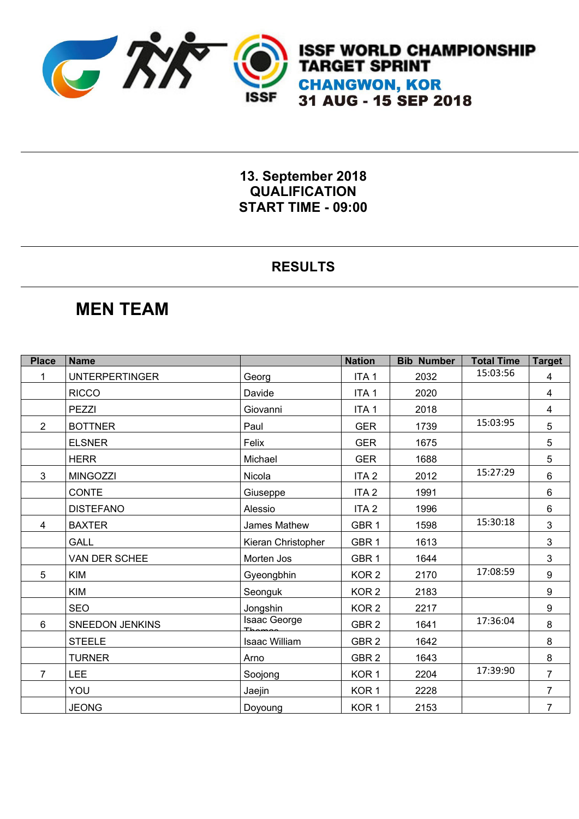

**13. September 2018 QUALIFICATION START TIME - 09:00** 

#### **RESULTS**

### **MEN TEAM**

| <b>Place</b>   | <b>Name</b>            |                    | <b>Nation</b>    | <b>Bib Number</b> | <b>Total Time</b> | <b>Target</b>  |
|----------------|------------------------|--------------------|------------------|-------------------|-------------------|----------------|
|                | <b>UNTERPERTINGER</b>  | Georg              | ITA <sub>1</sub> | 2032              | 15:03:56          | 4              |
|                | <b>RICCO</b>           | Davide             | ITA <sub>1</sub> | 2020              |                   | 4              |
|                | PEZZI                  | Giovanni           | ITA <sub>1</sub> | 2018              |                   | 4              |
| 2              | <b>BOTTNER</b>         | Paul               | <b>GER</b>       | 1739              | 15:03:95          | 5              |
|                | <b>ELSNER</b>          | Felix              | <b>GER</b>       | 1675              |                   | 5              |
|                | <b>HERR</b>            | Michael            | <b>GER</b>       | 1688              |                   | 5              |
| 3              | <b>MINGOZZI</b>        | Nicola             | ITA <sub>2</sub> | 2012              | 15:27:29          | $6\phantom{1}$ |
|                | <b>CONTE</b>           | Giuseppe           | ITA <sub>2</sub> | 1991              |                   | 6              |
|                | <b>DISTEFANO</b>       | Alessio            | ITA <sub>2</sub> | 1996              |                   | 6              |
| 4              | <b>BAXTER</b>          | James Mathew       | GBR <sub>1</sub> | 1598              | 15:30:18          | 3              |
|                | <b>GALL</b>            | Kieran Christopher | GBR <sub>1</sub> | 1613              |                   | 3              |
|                | VAN DER SCHEE          | Morten Jos         | GBR <sub>1</sub> | 1644              |                   | 3              |
| 5              | <b>KIM</b>             | Gyeongbhin         | KOR <sub>2</sub> | 2170              | 17:08:59          | 9              |
|                | <b>KIM</b>             | Seonguk            | KOR <sub>2</sub> | 2183              |                   | 9              |
|                | <b>SEO</b>             | Jongshin           | KOR <sub>2</sub> | 2217              |                   | 9              |
| 6              | <b>SNEEDON JENKINS</b> | Isaac George       | GBR <sub>2</sub> | 1641              | 17:36:04          | 8              |
|                | <b>STEELE</b>          | Isaac William      | GBR <sub>2</sub> | 1642              |                   | 8              |
|                | <b>TURNER</b>          | Arno               | GBR <sub>2</sub> | 1643              |                   | 8              |
| $\overline{7}$ | <b>LEE</b>             | Soojong            | KOR <sub>1</sub> | 2204              | 17:39:90          | $\overline{7}$ |
|                | YOU                    | Jaejin             | KOR <sub>1</sub> | 2228              |                   | $\overline{7}$ |
|                | <b>JEONG</b>           | Doyoung            | KOR <sub>1</sub> | 2153              |                   | $\overline{7}$ |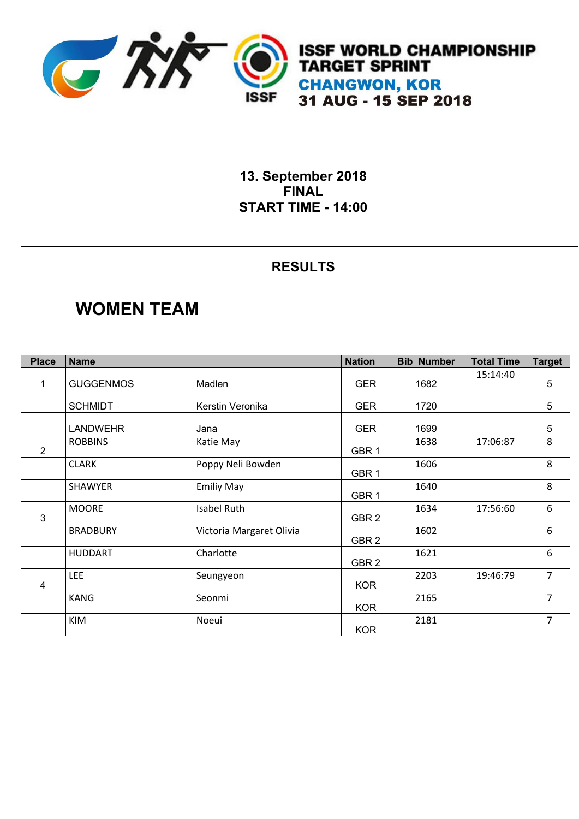

**13. September 2018 FINAL START TIME - 14:00** 

#### **RESULTS**

## **WOMEN TEAM**

| <b>Place</b>   | <b>Name</b>      |                          | <b>Nation</b>    | <b>Bib Number</b> | <b>Total Time</b> | <b>Target</b>  |
|----------------|------------------|--------------------------|------------------|-------------------|-------------------|----------------|
|                |                  |                          |                  |                   | 15:14:40          |                |
|                | <b>GUGGENMOS</b> | Madlen                   | <b>GER</b>       | 1682              |                   | 5              |
|                |                  |                          |                  |                   |                   |                |
|                | <b>SCHMIDT</b>   | Kerstin Veronika         | <b>GER</b>       | 1720              |                   | $\overline{5}$ |
|                |                  |                          |                  |                   |                   |                |
|                | <b>LANDWEHR</b>  | Jana                     | <b>GER</b>       | 1699              |                   | 5              |
|                | <b>ROBBINS</b>   | Katie May                |                  | 1638              | 17:06:87          | 8              |
| $\overline{2}$ |                  |                          | GBR1             |                   |                   |                |
|                | <b>CLARK</b>     | Poppy Neli Bowden        |                  | 1606              |                   | 8              |
|                |                  |                          | GBR <sub>1</sub> |                   |                   |                |
|                | SHAWYER          | <b>Emiliy May</b>        |                  | 1640              |                   | 8              |
|                |                  |                          | GBR <sub>1</sub> |                   |                   |                |
|                | <b>MOORE</b>     | <b>Isabel Ruth</b>       |                  | 1634              | 17:56:60          | 6              |
| 3              |                  |                          | GBR <sub>2</sub> |                   |                   |                |
|                | <b>BRADBURY</b>  | Victoria Margaret Olivia |                  | 1602              |                   | 6              |
|                |                  |                          | GBR <sub>2</sub> |                   |                   |                |
|                | <b>HUDDART</b>   | Charlotte                |                  | 1621              |                   | 6              |
|                |                  |                          | GBR <sub>2</sub> |                   |                   |                |
|                | <b>LEE</b>       | Seungyeon                |                  | 2203              | 19:46:79          | $\overline{7}$ |
| 4              |                  |                          | <b>KOR</b>       |                   |                   |                |
|                | <b>KANG</b>      | Seonmi                   |                  | 2165              |                   | $\overline{7}$ |
|                |                  |                          | <b>KOR</b>       |                   |                   |                |
|                | KIM              | Noeui                    |                  | 2181              |                   | $\overline{7}$ |
|                |                  |                          | <b>KOR</b>       |                   |                   |                |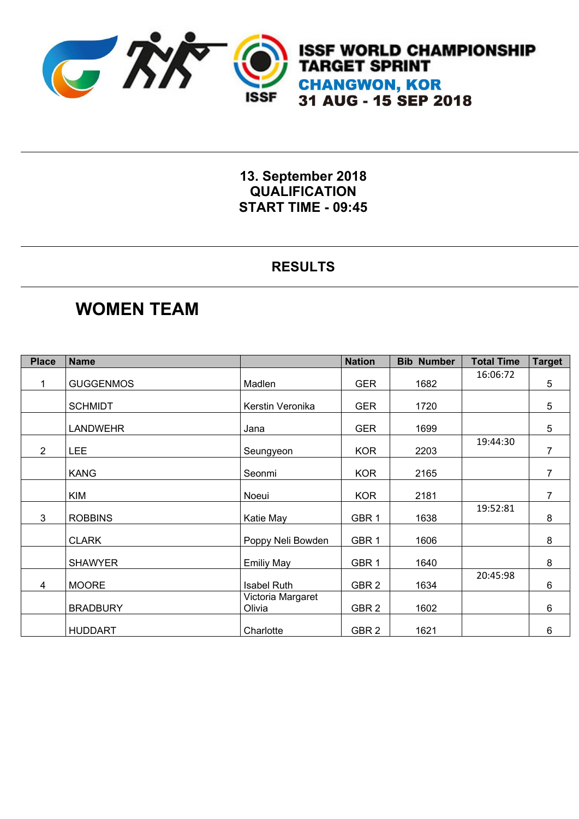

**13. September 2018 QUALIFICATION START TIME - 09:45** 

#### **RESULTS**

### **WOMEN TEAM**

| <b>Place</b>   | <b>Name</b>      |                    | <b>Nation</b>    | <b>Bib Number</b> | <b>Total Time</b> | <b>Target</b>  |
|----------------|------------------|--------------------|------------------|-------------------|-------------------|----------------|
|                |                  |                    |                  |                   | 16:06:72          |                |
|                | <b>GUGGENMOS</b> | Madlen             | <b>GER</b>       | 1682              |                   | $\overline{5}$ |
|                |                  |                    |                  |                   |                   |                |
|                | <b>SCHMIDT</b>   | Kerstin Veronika   | <b>GER</b>       | 1720              |                   | 5              |
|                |                  |                    |                  |                   |                   |                |
|                | LANDWEHR         | Jana               | <b>GER</b>       | 1699              |                   | 5              |
| $\overline{2}$ |                  |                    |                  | 2203              | 19:44:30          | $\overline{7}$ |
|                | LEE              | Seungyeon          | <b>KOR</b>       |                   |                   |                |
|                | <b>KANG</b>      | Seonmi             | <b>KOR</b>       | 2165              |                   | $\overline{7}$ |
|                |                  |                    |                  |                   |                   |                |
|                | <b>KIM</b>       | Noeui              | <b>KOR</b>       | 2181              |                   | $\overline{7}$ |
|                |                  |                    |                  |                   | 19:52:81          |                |
| 3              | <b>ROBBINS</b>   | Katie May          | GBR <sub>1</sub> | 1638              |                   | 8              |
|                |                  |                    |                  |                   |                   |                |
|                | <b>CLARK</b>     | Poppy Neli Bowden  | GBR <sub>1</sub> | 1606              |                   | 8              |
|                |                  |                    |                  |                   |                   |                |
|                | <b>SHAWYER</b>   | <b>Emiliy May</b>  | GBR <sub>1</sub> | 1640              |                   | 8              |
|                |                  |                    |                  |                   | 20:45:98          |                |
| 4              | <b>MOORE</b>     | <b>Isabel Ruth</b> | GBR <sub>2</sub> | 1634              |                   | 6              |
|                |                  | Victoria Margaret  |                  |                   |                   |                |
|                | <b>BRADBURY</b>  | Olivia             | GBR <sub>2</sub> | 1602              |                   | 6              |
|                |                  |                    |                  |                   |                   |                |
|                | <b>HUDDART</b>   | Charlotte          | GBR <sub>2</sub> | 1621              |                   | 6              |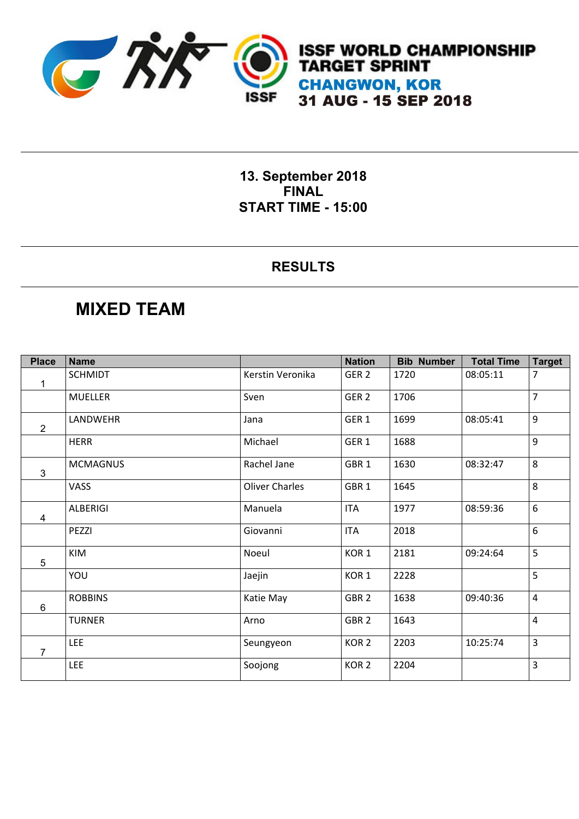

**13. September 2018 FINAL START TIME - 15:00** 

#### **RESULTS**

### **MIXED TEAM**

| <b>Place</b>   | <b>Name</b>     |                       | <b>Nation</b>    | <b>Bib Number</b> | <b>Total Time</b> | <b>Target</b>    |
|----------------|-----------------|-----------------------|------------------|-------------------|-------------------|------------------|
| 1              | <b>SCHMIDT</b>  | Kerstin Veronika      | GER <sub>2</sub> | 1720              | 08:05:11          | 7                |
|                | <b>MUELLER</b>  | Sven                  | GER <sub>2</sub> | 1706              |                   | $\overline{7}$   |
| $\overline{2}$ | LANDWEHR        | Jana                  | GER <sub>1</sub> | 1699              | 08:05:41          | $\boldsymbol{9}$ |
|                | <b>HERR</b>     | Michael               | GER <sub>1</sub> | 1688              |                   | 9                |
| $\mathfrak{S}$ | <b>MCMAGNUS</b> | Rachel Jane           | GBR <sub>1</sub> | 1630              | 08:32:47          | 8                |
|                | VASS            | <b>Oliver Charles</b> | GBR <sub>1</sub> | 1645              |                   | 8                |
| 4              | <b>ALBERIGI</b> | Manuela               | <b>ITA</b>       | 1977              | 08:59:36          | 6                |
|                | PEZZI           | Giovanni              | <b>ITA</b>       | 2018              |                   | $\boldsymbol{6}$ |
| 5              | <b>KIM</b>      | Noeul                 | KOR <sub>1</sub> | 2181              | 09:24:64          | 5                |
|                | YOU             | Jaejin                | KOR <sub>1</sub> | 2228              |                   | 5                |
| 6              | <b>ROBBINS</b>  | Katie May             | GBR <sub>2</sub> | 1638              | 09:40:36          | $\overline{4}$   |
|                | <b>TURNER</b>   | Arno                  | GBR <sub>2</sub> | 1643              |                   | $\overline{4}$   |
| 7              | <b>LEE</b>      | Seungyeon             | KOR <sub>2</sub> | 2203              | 10:25:74          | $\overline{3}$   |
|                | <b>LEE</b>      | Soojong               | KOR <sub>2</sub> | 2204              |                   | 3                |